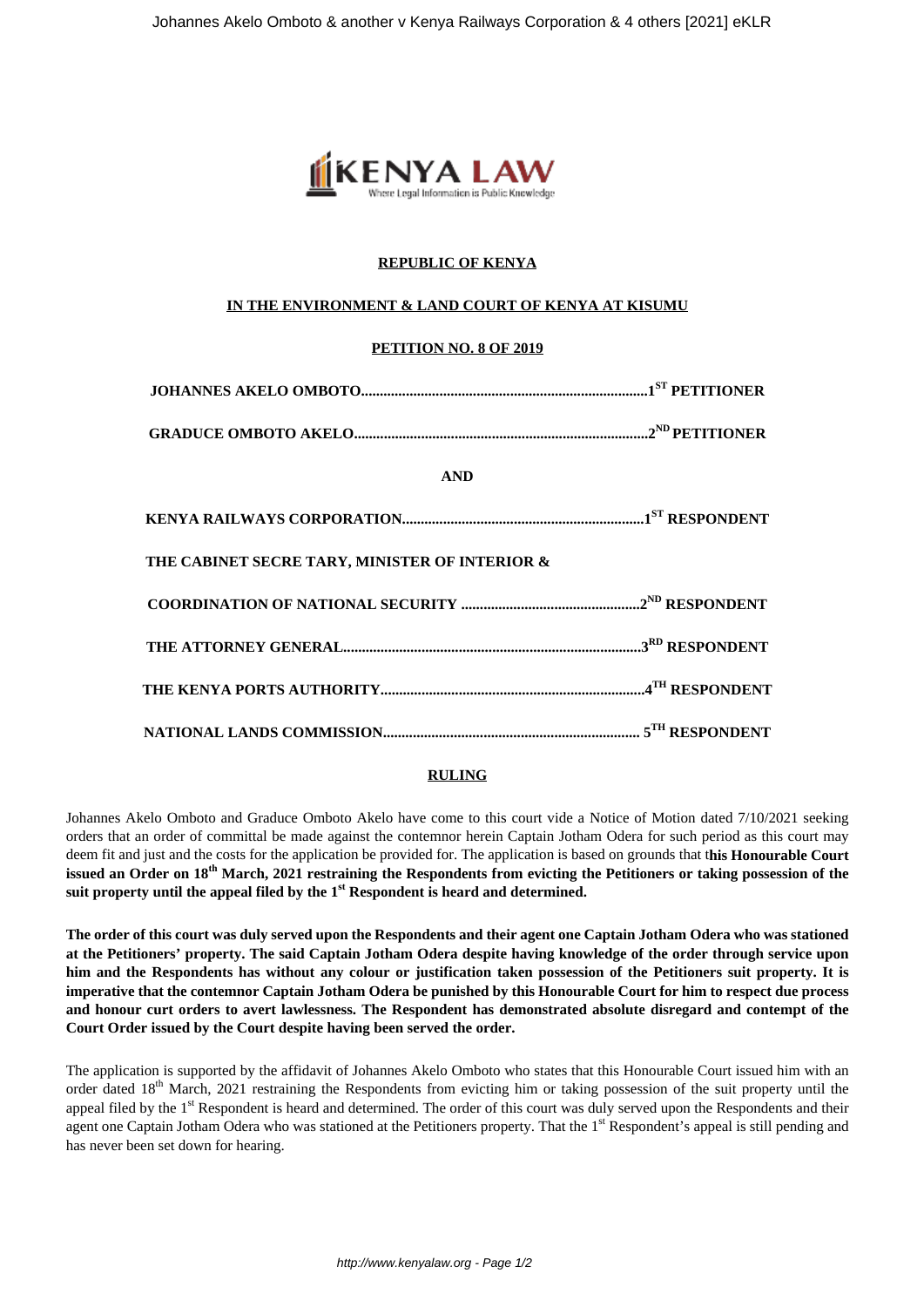

# **REPUBLIC OF KENYA**

## **IN THE ENVIRONMENT & LAND COURT OF KENYA AT KISUMU**

## **PETITION NO. 8 OF 2019**

| <b>AND</b>                                     |  |
|------------------------------------------------|--|
|                                                |  |
| THE CABINET SECRE TARY, MINISTER OF INTERIOR & |  |
|                                                |  |
|                                                |  |
|                                                |  |
|                                                |  |

## **RULING**

Johannes Akelo Omboto and Graduce Omboto Akelo have come to this court vide a Notice of Motion dated 7/10/2021 seeking orders that an order of committal be made against the contemnor herein Captain Jotham Odera for such period as this court may deem fit and just and the costs for the application be provided for. The application is based on grounds that t**his Honourable Court issued an Order on 18th March, 2021 restraining the Respondents from evicting the Petitioners or taking possession of the suit property until the appeal filed by the 1st Respondent is heard and determined.**

**The order of this court was duly served upon the Respondents and their agent one Captain Jotham Odera who was stationed at the Petitioners' property. The said Captain Jotham Odera despite having knowledge of the order through service upon him and the Respondents has without any colour or justification taken possession of the Petitioners suit property. It is imperative that the contemnor Captain Jotham Odera be punished by this Honourable Court for him to respect due process and honour curt orders to avert lawlessness. The Respondent has demonstrated absolute disregard and contempt of the Court Order issued by the Court despite having been served the order.**

The application is supported by the affidavit of Johannes Akelo Omboto who states that this Honourable Court issued him with an order dated 18<sup>th</sup> March, 2021 restraining the Respondents from evicting him or taking possession of the suit property until the appeal filed by the  $1<sup>st</sup>$  Respondent is heard and determined. The order of this court was duly served upon the Respondents and their agent one Captain Jotham Odera who was stationed at the Petitioners property. That the 1<sup>st</sup> Respondent's appeal is still pending and has never been set down for hearing.